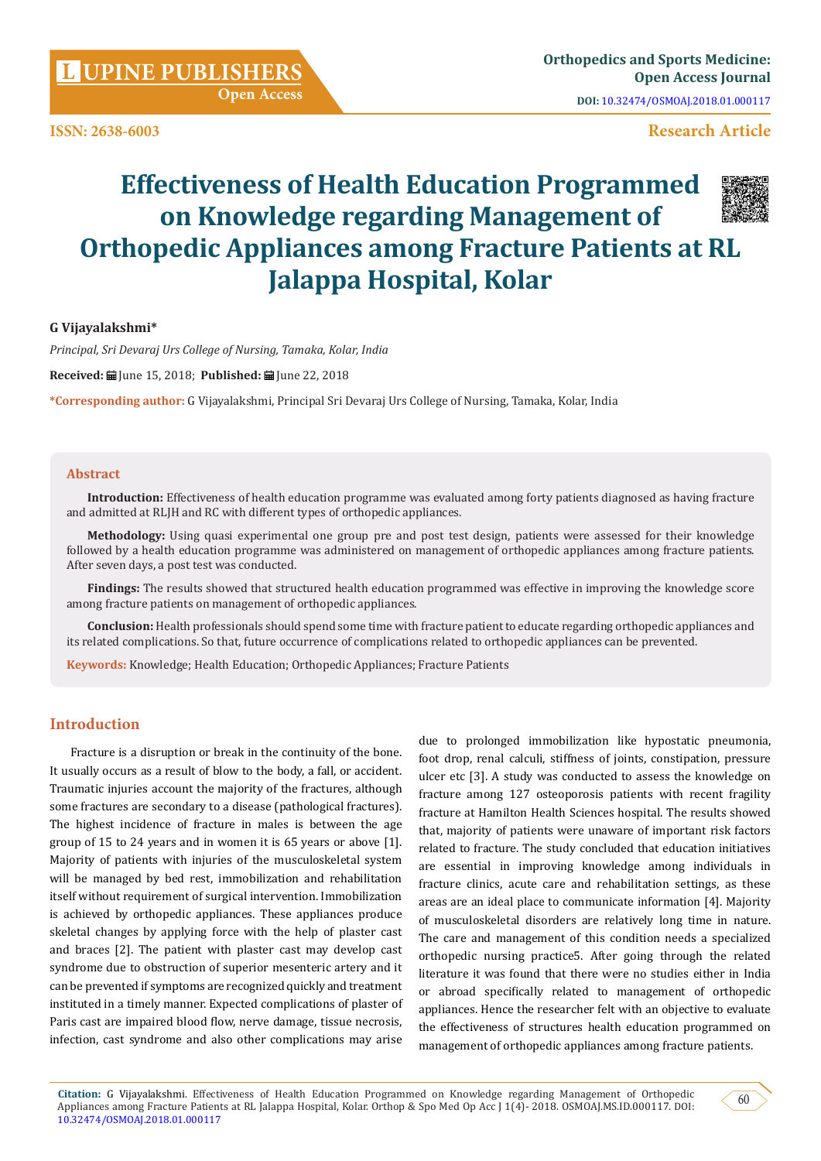**Open Access**

**ISSN: 2638-6003**

# **Research Article**

# **Effectiveness of Health Education Programmed on Knowledge regarding Management of Orthopedic Appliances among Fracture Patients at RL Jalappa Hospital, Kolar**



#### **G Vijayalakshmi\***

*Principal, Sri Devaraj Urs College of Nursing, Tamaka, Kolar, India*

**Received:**  $\blacksquare$  Iune 15, 2018; **Published:**  $\blacksquare$  Iune 22, 2018

**\*Corresponding author:** G Vijayalakshmi, Principal Sri Devaraj Urs College of Nursing, Tamaka, Kolar, India

#### **Abstract**

**Introduction:** Effectiveness of health education programme was evaluated among forty patients diagnosed as having fracture and admitted at RLJH and RC with different types of orthopedic appliances.

**Methodology:** Using quasi experimental one group pre and post test design, patients were assessed for their knowledge followed by a health education programme was administered on management of orthopedic appliances among fracture patients. After seven days, a post test was conducted.

**Findings:** The results showed that structured health education programmed was effective in improving the knowledge score among fracture patients on management of orthopedic appliances.

**Conclusion:** Health professionals should spend some time with fracture patient to educate regarding orthopedic appliances and its related complications. So that, future occurrence of complications related to orthopedic appliances can be prevented.

**Keywords:** Knowledge; Health Education; Orthopedic Appliances; Fracture Patients

#### **Introduction**

Fracture is a disruption or break in the continuity of the bone. It usually occurs as a result of blow to the body, a fall, or accident. Traumatic injuries account the majority of the fractures, although some fractures are secondary to a disease (pathological fractures). The highest incidence of fracture in males is between the age group of 15 to 24 years and in women it is 65 years or above [1]. Majority of patients with injuries of the musculoskeletal system will be managed by bed rest, immobilization and rehabilitation itself without requirement of surgical intervention. Immobilization is achieved by orthopedic appliances. These appliances produce skeletal changes by applying force with the help of plaster cast and braces [2]. The patient with plaster cast may develop cast syndrome due to obstruction of superior mesenteric artery and it can be prevented if symptoms are recognized quickly and treatment instituted in a timely manner. Expected complications of plaster of Paris cast are impaired blood flow, nerve damage, tissue necrosis, infection, cast syndrome and also other complications may arise

due to prolonged immobilization like hypostatic pneumonia, foot drop, renal calculi, stiffness of joints, constipation, pressure ulcer etc [3]. A study was conducted to assess the knowledge on fracture among 127 osteoporosis patients with recent fragility fracture at Hamilton Health Sciences hospital. The results showed that, majority of patients were unaware of important risk factors related to fracture. The study concluded that education initiatives are essential in improving knowledge among individuals in fracture clinics, acute care and rehabilitation settings, as these areas are an ideal place to communicate information [4]. Majority of musculoskeletal disorders are relatively long time in nature. The care and management of this condition needs a specialized orthopedic nursing practice5. After going through the related literature it was found that there were no studies either in India or abroad specifically related to management of orthopedic appliances. Hence the researcher felt with an objective to evaluate the effectiveness of structures health education programmed on management of orthopedic appliances among fracture patients.

60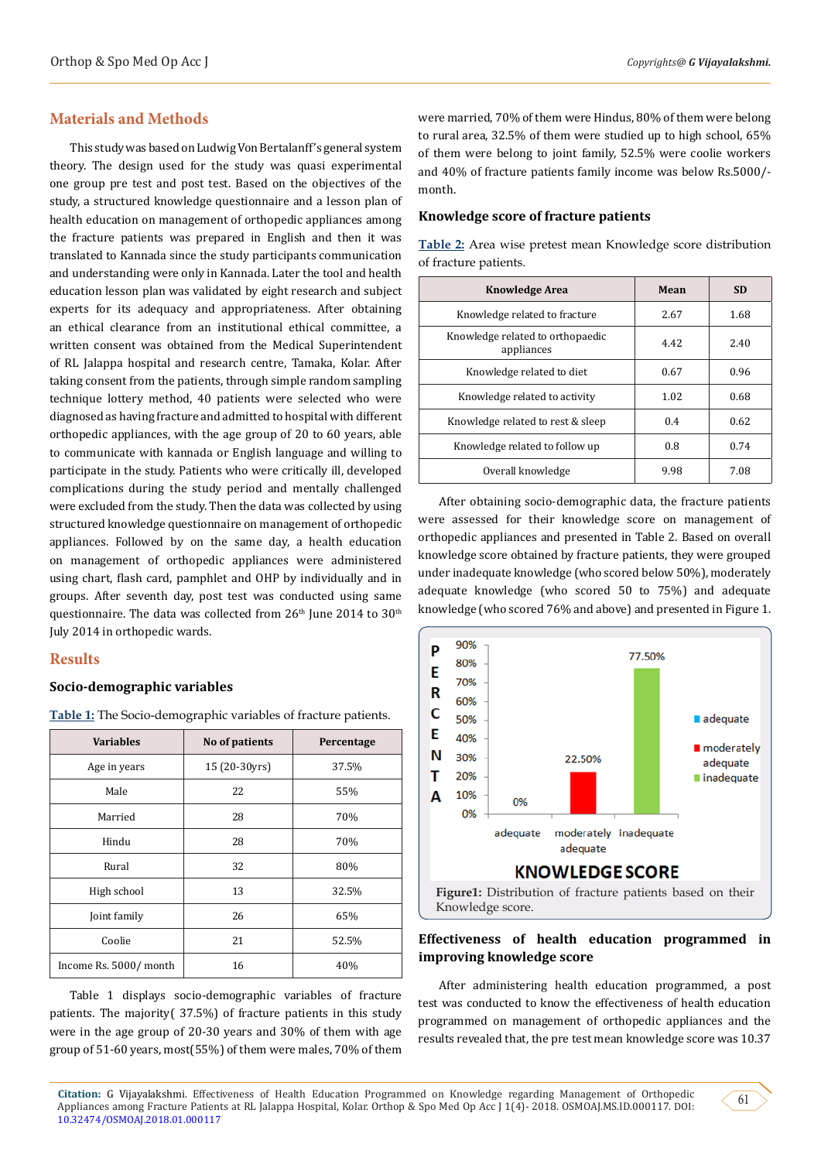## **Materials and Methods**

This study was based on Ludwig Von Bertalanff's general system theory. The design used for the study was quasi experimental one group pre test and post test. Based on the objectives of the study, a structured knowledge questionnaire and a lesson plan of health education on management of orthopedic appliances among the fracture patients was prepared in English and then it was translated to Kannada since the study participants communication and understanding were only in Kannada. Later the tool and health education lesson plan was validated by eight research and subject experts for its adequacy and appropriateness. After obtaining an ethical clearance from an institutional ethical committee, a written consent was obtained from the Medical Superintendent of RL Jalappa hospital and research centre, Tamaka, Kolar. After taking consent from the patients, through simple random sampling technique lottery method, 40 patients were selected who were diagnosed as having fracture and admitted to hospital with different orthopedic appliances, with the age group of 20 to 60 years, able to communicate with kannada or English language and willing to participate in the study. Patients who were critically ill, developed complications during the study period and mentally challenged were excluded from the study. Then the data was collected by using structured knowledge questionnaire on management of orthopedic appliances. Followed by on the same day, a health education on management of orthopedic appliances were administered using chart, flash card, pamphlet and OHP by individually and in groups. After seventh day, post test was conducted using same questionnaire. The data was collected from 26<sup>th</sup> June 2014 to 30<sup>th</sup> July 2014 in orthopedic wards.

## **Results**

#### **Socio-demographic variables**

| <b>Variables</b>      | No of patients | Percentage |
|-----------------------|----------------|------------|
| Age in years          | 15 (20-30yrs)  | 37.5%      |
| Male                  | 22             | 55%        |
| Married               | 28             | 70%        |
| Hindu                 | 28             | 70%        |
| Rural                 | 32             | 80%        |
| High school           | 13             | 32.5%      |
| Joint family          | 26             | 65%        |
| Coolie                | 21             | 52.5%      |
| Income Rs. 5000/month | 16             | 40%        |

**Table 1:** The Socio-demographic variables of fracture patients.

Table 1 displays socio-demographic variables of fracture patients. The majority( 37.5%) of fracture patients in this study were in the age group of 20-30 years and 30% of them with age group of 51-60 years, most(55%) of them were males, 70% of them

were married, 70% of them were Hindus, 80% of them were belong to rural area, 32.5% of them were studied up to high school, 65% of them were belong to joint family, 52.5% were coolie workers and 40% of fracture patients family income was below Rs.5000/ month.

**Table 2:** Area wise pretest mean Knowledge score distribution

#### **Knowledge score of fracture patients**

| of fracture patients.                          |      |           |  |  |  |
|------------------------------------------------|------|-----------|--|--|--|
| <b>Knowledge Area</b>                          | Mean | <b>SD</b> |  |  |  |
| Knowledge related to fracture                  | 2.67 | 1.68      |  |  |  |
| Knowledge related to orthopaedic<br>appliances | 4.42 | 2.40      |  |  |  |
| Knowledge related to diet                      | 0.67 | 0.96      |  |  |  |
| Knowledge related to activity                  | 1.02 | 0.68      |  |  |  |
| Knowledge related to rest & sleep              | 0.4  | 0.62      |  |  |  |
| Knowledge related to follow up                 | 0.8  | 0.74      |  |  |  |
| Overall knowledge                              | 9.98 | 7.08      |  |  |  |

After obtaining socio-demographic data, the fracture patients were assessed for their knowledge score on management of orthopedic appliances and presented in Table 2. Based on overall knowledge score obtained by fracture patients, they were grouped under inadequate knowledge (who scored below 50%), moderately adequate knowledge (who scored 50 to 75%) and adequate knowledge (who scored 76% and above) and presented in Figure 1.



## **Effectiveness of health education programmed in improving knowledge score**

After administering health education programmed, a post test was conducted to know the effectiveness of health education programmed on management of orthopedic appliances and the results revealed that, the pre test mean knowledge score was 10.37